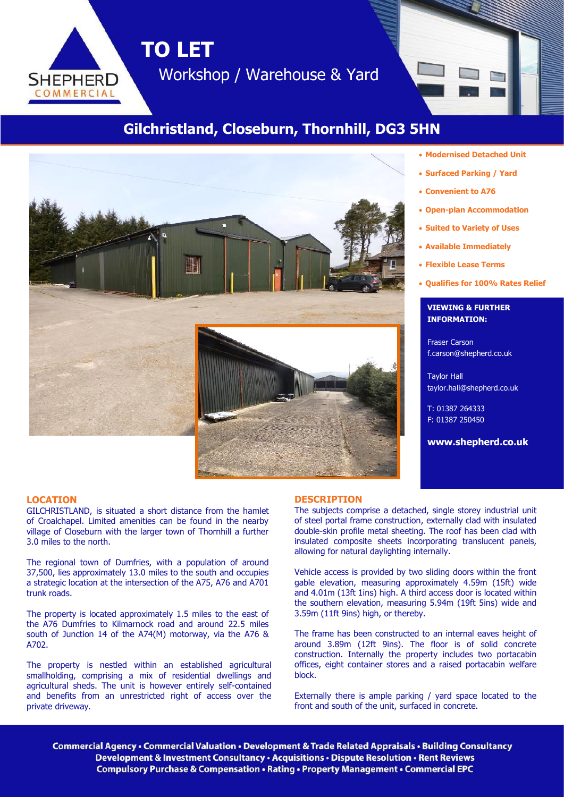

# **Gilchristland, Closeburn, Thornhill, DG3 5HN**



### • **Modernised Detached Unit**

- **Surfaced Parking / Yard**
- **Convenient to A76**
- **Open-plan Accommodation**
- **Suited to Variety of Uses**
- **Available Immediately**
- **Flexible Lease Terms**
- **Qualifies for 100% Rates Relief**

# **VIEWING & FURTHER INFORMATION:**

Fraser Carson f.carson@shepherd.co.uk

Taylor Hall taylor.hall@shepherd.co.uk

T: 01387 264333 F: 01387 250450

**www.shepherd.co.uk**

### **LOCATION**

**SHEPHERD** COMMERCIAL

GILCHRISTLAND, is situated a short distance from the hamlet of Croalchapel. Limited amenities can be found in the nearby village of Closeburn with the larger town of Thornhill a further 3.0 miles to the north.

The regional town of Dumfries, with a population of around 37,500, lies approximately 13.0 miles to the south and occupies a strategic location at the intersection of the A75, A76 and A701 trunk roads.

The property is located approximately 1.5 miles to the east of the A76 Dumfries to Kilmarnock road and around 22.5 miles south of Junction 14 of the A74(M) motorway, via the A76 & A702.

The property is nestled within an established agricultural smallholding, comprising a mix of residential dwellings and agricultural sheds. The unit is however entirely self-contained and benefits from an unrestricted right of access over the private driveway.

#### **DESCRIPTION**

The subjects comprise a detached, single storey industrial unit of steel portal frame construction, externally clad with insulated double-skin profile metal sheeting. The roof has been clad with insulated composite sheets incorporating translucent panels, allowing for natural daylighting internally.

Vehicle access is provided by two sliding doors within the front gable elevation, measuring approximately 4.59m (15ft) wide and 4.01m (13ft 1ins) high. A third access door is located within the southern elevation, measuring 5.94m (19ft 5ins) wide and 3.59m (11ft 9ins) high, or thereby.

The frame has been constructed to an internal eaves height of around 3.89m (12ft 9ins). The floor is of solid concrete construction. Internally the property includes two portacabin offices, eight container stores and a raised portacabin welfare block.

Externally there is ample parking / yard space located to the front and south of the unit, surfaced in concrete.

Commercial Agency • Commercial Valuation • Development & Trade Related Appraisals • Building Consultancy Development & Investment Consultancy • Acquisitions • Dispute Resolution • Rent Reviews Compulsory Purchase & Compensation . Rating . Property Management . Commercial EPC